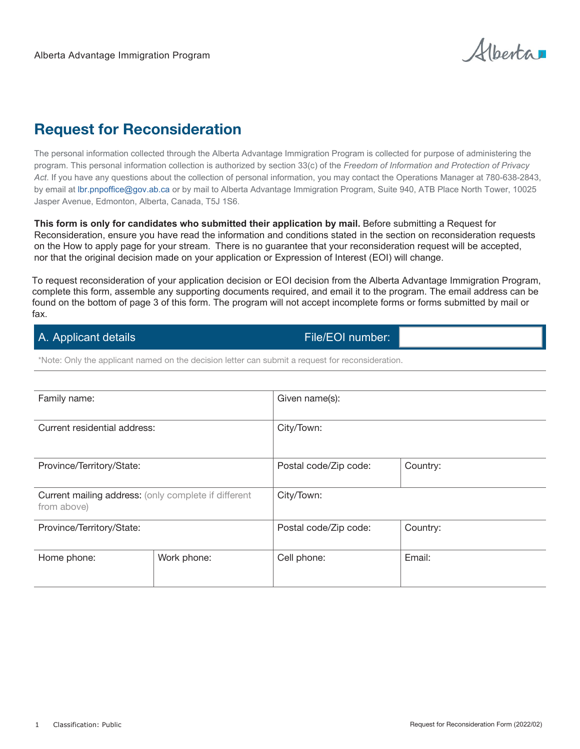Alberta

# Request for Reconsideration

The personal information collected through the Alberta Advantage Immigration Program is collected for purpose of administering the program. This personal information collection is authorized by section 33(c) of the *Freedom of Information and Protection of Privacy Act*. If you have any questions about the collection of personal information, you may contact the Operations Manager at 780-638-2843, by email at lbr.pnpoffice@gov.ab.ca or by mail to Alberta Advantage Immigration Program, Suite 940, ATB Place North Tower, 10025 Jasper Avenue, Edmonton, Alberta, Canada, T5J 1S6.

**This form is only for candidates who submitted their application by mail.** Before submitting a Request for Reconsideration, ensure you have read the information and conditions stated in the section on reconsideration requests on the How to apply page for your stream. There is no guarantee that your reconsideration request will be accepted, nor that the original decision made on your application or Expression of Interest (EOI) will change.

To request reconsideration of your application decision or EOI decision from the Alberta Advantage Immigration Program, complete this form, assemble any supporting documents required, and email it to the program. The email address can be found on the bottom of page 3 of this form. The program will not accept incomplete forms or forms submitted by mail or fax.

# A. Applicant details File/EOI number:

\*Note: Only the applicant named on the decision letter can submit a request for reconsideration.

| Family name:                                                        |             | Given name(s):        |          |
|---------------------------------------------------------------------|-------------|-----------------------|----------|
| Current residential address:                                        |             | City/Town:            |          |
| Province/Territory/State:                                           |             | Postal code/Zip code: | Country: |
| Current mailing address: (only complete if different<br>from above) |             | City/Town:            |          |
| Province/Territory/State:                                           |             | Postal code/Zip code: | Country: |
| Home phone:                                                         | Work phone: | Cell phone:           | Email:   |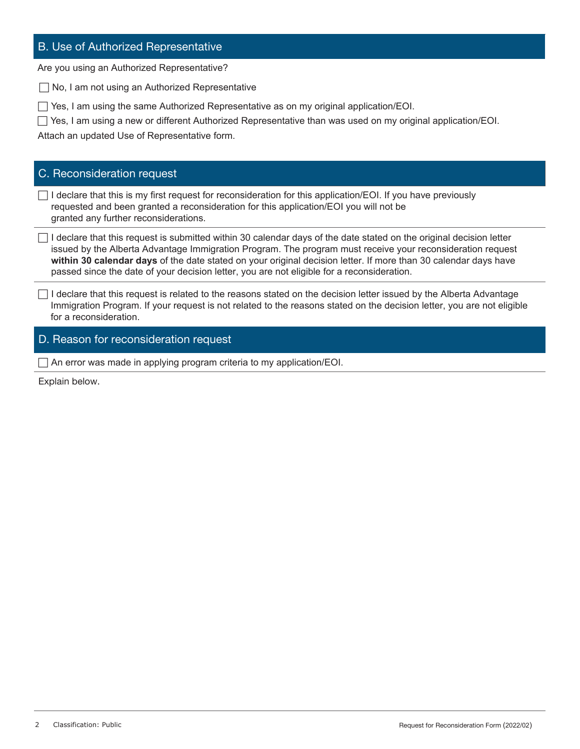## B. Use of Authorized Representative

Are you using an Authorized Representative?

 $\Box$  No, I am not using an Authorized Representative

 $\Box$  Yes, I am using the same Authorized Representative as on my original application/EOI.

 $\Box$  Yes, I am using a new or different Authorized Representative than was used on my original application/EOI.

Attach an updated Use of Representative form.

### C. Reconsideration request

 $\Box$  I declare that this is my first request for reconsideration for this application/EOI. If you have previously requested and been granted a reconsideration for this application/EOI you will not be granted any further reconsiderations.

 $\Box$  I declare that this request is submitted within 30 calendar days of the date stated on the original decision letter issued by the Alberta Advantage Immigration Program. The program must receive your reconsideration request **within 30 calendar days** of the date stated on your original decision letter. If more than 30 calendar days have passed since the date of your decision letter, you are not eligible for a reconsideration.

 $\Box$  I declare that this request is related to the reasons stated on the decision letter issued by the Alberta Advantage Immigration Program. If your request is not related to the reasons stated on the decision letter, you are not eligible for a reconsideration.

#### D. Reason for reconsideration request

 $\Box$  An error was made in applying program criteria to my application/EOI.

Explain below.